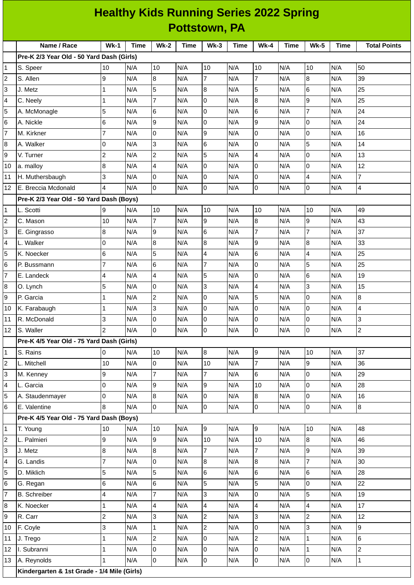|                         | <b>Healthy Kids Running Series 2022 Spring</b> |                |      |                 |      |                 |             |                  |             |                          |             |                     |
|-------------------------|------------------------------------------------|----------------|------|-----------------|------|-----------------|-------------|------------------|-------------|--------------------------|-------------|---------------------|
|                         | <b>Pottstown, PA</b>                           |                |      |                 |      |                 |             |                  |             |                          |             |                     |
|                         | Name / Race                                    | <b>Wk-1</b>    | Time | <b>Wk-2</b>     | Time | $Wk-3$          | <b>Time</b> | <b>Wk-4</b>      | <b>Time</b> | <b>Wk-5</b>              | <b>Time</b> | <b>Total Points</b> |
|                         | Pre-K 2/3 Year Old - 50 Yard Dash (Girls)      |                |      |                 |      |                 |             |                  |             |                          |             |                     |
| 1                       | S. Speer                                       | 10             | N/A  | 10              | N/A  | 10              | N/A         | 10               | N/A         | 10                       | N/A         | 50                  |
| $\overline{c}$          | S. Allen                                       | 9              | N/A  | $8\,$           | N/A  | 7               | N/A         | $\overline{7}$   | N/A         | $\bf{8}$                 | N/A         | 39                  |
| 3                       | J. Metz                                        | $\mathbf{1}$   | N/A  | 5               | N/A  | 8               | N/A         | 5                | N/A         | 6                        | N/A         | 25                  |
| 4                       | C. Neely                                       | $\mathbf{1}$   | N/A  | 7               | N/A  | 0               | N/A         | $\boldsymbol{8}$ | N/A         | $\boldsymbol{9}$         | N/A         | 25                  |
| 5                       | A. McMonagle                                   | 5              | N/A  | 6               | N/A  | $\overline{0}$  | N/A         | $6\phantom{.}6$  | N/A         | $\overline{7}$           | N/A         | 24                  |
| 6                       | A. Nickle                                      | 6              | N/A  | 9               | N/A  | 0               | N/A         | $\overline{9}$   | N/A         | 0                        | N/A         | 24                  |
| $\overline{7}$          | M. Kirkner                                     | $\overline{7}$ | N/A  | 0               | N/A  | 9               | N/A         | $\pmb{0}$        | N/A         | $\pmb{0}$                | N/A         | 16                  |
| 8                       | A. Walker                                      | 0              | N/A  | 3               | N/A  | 6               | N/A         | $\overline{0}$   | N/A         | 5                        | N/A         | 14                  |
| 9                       | V. Turner                                      | $\overline{c}$ | N/A  | $\overline{c}$  | N/A  | 5               | N/A         | $\overline{4}$   | N/A         | 0                        | N/A         | 13                  |
| 10                      | a. malloy                                      | 8              | N/A  | 4               | N/A  | 0               | N/A         | 0                | N/A         | 0                        | N/A         | 12                  |
| 11                      | H. Muthersbaugh                                | 3              | N/A  | 0               | N/A  | 0               | N/A         | 0                | N/A         | 4                        | N/A         | $\overline{7}$      |
| 12                      | E. Breccia Mcdonald                            | 4              | N/A  | 0               | N/A  | $\mathsf{O}$    | N/A         | $\overline{0}$   | N/A         | 0                        | N/A         | 4                   |
|                         | Pre-K 2/3 Year Old - 50 Yard Dash (Boys)       |                |      |                 |      |                 |             |                  |             |                          |             |                     |
| 1                       | L. Scotti                                      | 9              | N/A  | 10              | N/A  | 10              | N/A         | 10               | N/A         | 10                       | N/A         | 49                  |
| $\mathbf 2$             | C. Mason                                       | $10\,$         | N/A  | 7               | N/A  | 9               | N/A         | $\, 8$           | N/A         | $\overline{9}$           | N/A         | 43                  |
| 3                       | E. Gingrasso                                   | 8              | N/A  | 9               | N/A  | $6\phantom{.}6$ | N/A         | $\overline{7}$   | N/A         | $\overline{7}$           | N/A         | 37                  |
| 4                       | L. Walker                                      | 0              | N/A  | 8               | N/A  | 8               | N/A         | 9                | N/A         | $\, 8$                   | N/A         | 33                  |
| 5                       | K. Noecker                                     | 6              | N/A  | 5               | N/A  | $\overline{4}$  | N/A         | $\,$ 6           | N/A         | $\overline{\mathcal{A}}$ | N/A         | 25                  |
| 6                       | P. Bussmann                                    | $\overline{7}$ | N/A  | $6\phantom{.}6$ | N/A  | $\overline{7}$  | N/A         | $\overline{0}$   | N/A         | 5                        | N/A         | 25                  |
| $\overline{7}$          | E. Landeck                                     | 4              | N/A  | $\overline{4}$  | N/A  | 5               | N/A         | 0                | N/A         | 6                        | N/A         | 19                  |
| 8                       | O. Lynch                                       | 5              | N/A  | 0               | N/A  | 3               | N/A         | 4                | N/A         | $\overline{3}$           | N/A         | 15                  |
| 9                       | P. Garcia                                      | $\mathbf 1$    | N/A  | $\overline{c}$  | N/A  | 0               | N/A         | 5                | N/A         | $\mathsf 0$              | N/A         | 8                   |
| 10                      | K. Farabaugh                                   | $\mathbf{1}$   | N/A  | 3               | N/A  | 0               | N/A         | 0                | N/A         | 0                        | N/A         | 4                   |
| 11                      | R. McDonald                                    | 3              | N/A  | $\overline{0}$  | N/A  | l0              | N/A         | Iо               | N/A         | 0                        | N/A         | 3                   |
| 12                      | S. Waller                                      | $\overline{c}$ | N/A  | $\overline{0}$  | N/A  | $\overline{0}$  | N/A         | $\overline{0}$   | N/A         | 0                        | N/A         | $\overline{a}$      |
|                         | Pre-K 4/5 Year Old - 75 Yard Dash (Girls)      |                |      |                 |      |                 |             |                  |             |                          |             |                     |
| 1                       | S. Rains                                       | 0              | N/A  | 10              | N/A  | $\overline{8}$  | N/A         | $\overline{9}$   | N/A         | 10                       | N/A         | 37                  |
| $\overline{c}$          | L. Mitchell                                    | 10             | N/A  | 0               | N/A  | 10              | N/A         | $\overline{7}$   | N/A         | 9                        | N/A         | 36                  |
| 3                       | M. Kenney                                      | 9              | N/A  | $\overline{7}$  | N/A  | 7               | N/A         | $\,6$            | N/A         | $\overline{0}$           | N/A         | 29                  |
| 4                       | L. Garcia                                      | 0              | N/A  | 9               | N/A  | 9               | N/A         | 10               | N/A         | 0                        | N/A         | 28                  |
| 5                       | A. Staudenmayer                                | 0              | N/A  | 8               | N/A  | $\pmb{0}$       | N/A         | 8                | N/A         | 0                        | N/A         | 16                  |
| 6                       | E. Valentine                                   | 8              | N/A  | $\mathbf 0$     | N/A  | 0               | N/A         | 0                | N/A         | 0                        | N/A         | $\overline{8}$      |
|                         | Pre-K 4/5 Year Old - 75 Yard Dash (Boys)       |                |      |                 |      |                 |             |                  |             |                          |             |                     |
| 1                       | T. Young                                       | $10\,$         | N/A  | 10              | N/A  | 9               | N/A         | $\boldsymbol{9}$ | N/A         | 10                       | N/A         | 48                  |
| $\overline{\mathbf{c}}$ | L. Palmieri                                    | 9              | N/A  | 9               | N/A  | 10              | N/A         | 10               | N/A         | $\bf{8}$                 | N/A         | 46                  |
| 3                       | J. Metz                                        | 8              | N/A  | 8               | N/A  | 7               | N/A         | $\overline{7}$   | N/A         | 9                        | N/A         | 39                  |
| 4                       | G. Landis                                      | $\overline{7}$ | N/A  | $\overline{0}$  | N/A  | 8               | N/A         | $\bf{8}$         | N/A         | $\overline{7}$           | N/A         | 30                  |
| 5                       | D. Miklich                                     | 5              | N/A  | 5               | N/A  | 6               | N/A         | $\,$ 6           | N/A         | 6                        | N/A         | 28                  |
| 6                       | G. Regan                                       | 6              | N/A  | 6               | N/A  | 5               | N/A         | $\overline{5}$   | N/A         | 0                        | N/A         | 22                  |
| $\overline{7}$          | <b>B.</b> Schreiber                            | 4              | N/A  | $\overline{7}$  | N/A  | 3               | N/A         | 0                | N/A         | 5                        | N/A         | 19                  |
| 8                       | K. Noecker                                     | $\mathbf{1}$   | N/A  | 4               | N/A  | $\overline{4}$  | N/A         | $\overline{4}$   | N/A         | $\overline{\mathcal{A}}$ | N/A         | 17                  |
| 9                       | R. Carr                                        | $\overline{c}$ | N/A  | 3               | N/A  | $\overline{c}$  | N/A         | $\overline{3}$   | N/A         | $\overline{c}$           | N/A         | 12                  |
| 10                      | F. Coyle                                       | 3              | N/A  | $\mathbf 1$     | N/A  | $\overline{c}$  | N/A         | $\mathsf 0$      | N/A         | 3                        | N/A         | 9                   |
| 11                      | J. Trego                                       | $\mathbf{1}$   | N/A  | $\overline{c}$  | N/A  | 0               | N/A         | $\overline{c}$   | N/A         | $\mathbf{1}$             | N/A         | 6                   |
| 12                      | I. Subranni                                    | $\mathbf{1}$   | N/A  | 0               | N/A  | $\pmb{0}$       | N/A         | $\mathsf 0$      | N/A         | $\mathbf 1$              | N/A         | $\overline{c}$      |
| 13                      | A. Reynolds                                    | $\mathbf{1}$   | N/A  | $\overline{0}$  | N/A  | 0               | N/A         | $\mathsf 0$      | N/A         | 0                        | N/A         | $\mathbf{1}$        |
|                         | Kindergarten & 1st Grade - 1/4 Mile (Girls)    |                |      |                 |      |                 |             |                  |             |                          |             |                     |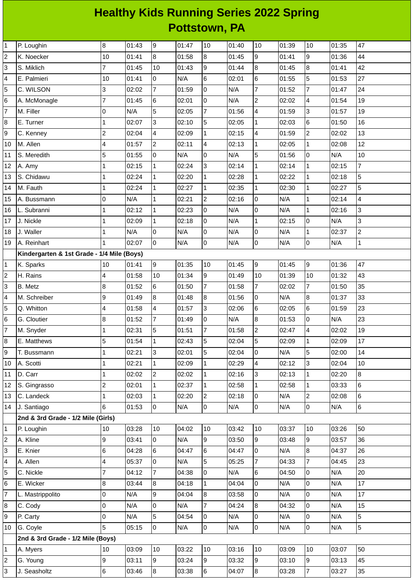## **Healthy Kids Running Series 2022 Spring Pottstown, PA**

| $\mathbf{1}$            | P. Loughin                                 | 8              | 01:43 | l9             | 01:47 | 10             | 01:40 | 10                       | 01:39 | 10             | 01:35 | 47             |
|-------------------------|--------------------------------------------|----------------|-------|----------------|-------|----------------|-------|--------------------------|-------|----------------|-------|----------------|
| $\overline{\mathbf{c}}$ | K. Noecker                                 | 10             | 01:41 | $\, 8$         | 01:58 | $\bf{8}$       | 01:45 | 9                        | 01:41 | 9              | 01:36 | 44             |
| 3                       | S. Miklich                                 | $\overline{7}$ | 01:45 | 10             | 01:43 | 9              | 01:44 | $\bf{8}$                 | 01:45 | 8              | 01:41 | 42             |
| 4                       | E. Palmieri                                | 10             | 01:41 | 0              | N/A   | $\,6$          | 02:01 | 6                        | 01:55 | 5              | 01:53 | 27             |
| 5                       | C. WILSON                                  | 3              | 02:02 | 7              | 01:59 | 0              | N/A   | $\overline{7}$           | 01:52 | $\overline{7}$ | 01:47 | 24             |
| 6                       | A. McMonagle                               | $\overline{7}$ | 01:45 | $6\phantom{a}$ | 02:01 | $\mathsf{O}$   | N/A   | $\overline{2}$           | 02:02 | 4              | 01:54 | 19             |
| $\overline{7}$          | M. Filler                                  | $\mathsf 0$    | N/A   | 5              | 02:05 | $\overline{7}$ | 01:56 | $\overline{\mathcal{A}}$ | 01:59 | 3              | 01:57 | 19             |
| 8                       | E. Turner                                  | $\mathbf{1}$   | 02:07 | 3              | 02:10 | 5              | 02:05 | $\mathbf{1}$             | 02:03 | 6              | 01:50 | 16             |
| 9                       | C. Kenney                                  | $\overline{c}$ | 02:04 | $\overline{4}$ | 02:09 | $\mathbf{1}$   | 02:15 | $\overline{\mathbf{4}}$  | 01:59 | $\overline{c}$ | 02:02 | 13             |
| 10                      | M. Allen                                   | 4              | 01:57 | 2              | 02:11 | 4              | 02:13 | $\mathbf 1$              | 02:05 | $\mathbf 1$    | 02:08 | 12             |
| 11                      | S. Meredith                                | 5              | 01:55 | $\mathsf 0$    | N/A   | $\mathsf 0$    | N/A   | 5                        | 01:56 | 0              | N/A   | $10\,$         |
| 12                      | A. Amy                                     | 1              | 02:15 | $\mathbf{1}$   | 02:24 | 3              | 02:14 | $\mathbf{1}$             | 02:14 | $\mathbf 1$    | 02:15 | $\overline{7}$ |
| 13                      | S. Chidawu                                 | $\mathbf 1$    | 02:24 | 1              | 02:20 | $\mathbf 1$    | 02:28 | $\mathbf 1$              | 02:22 | $\mathbf 1$    | 02:18 | 5              |
| 14                      | M. Fauth                                   | $\mathbf{1}$   | 02:24 | $\mathbf{1}$   | 02:27 | $\mathbf{1}$   | 02:35 | $\mathbf{1}$             | 02:30 | $\mathbf 1$    | 02:27 | 5              |
| 15                      | A. Bussmann                                | $\mathsf 0$    | N/A   | $\mathbf{1}$   | 02:21 | $\overline{c}$ | 02:16 | $\overline{0}$           | N/A   | $\mathbf 1$    | 02:14 | 4              |
| 16                      | L. Subranni                                | $\mathbf{1}$   | 02:12 | $\mathbf{1}$   | 02:23 | 0              | N/A   | 0                        | N/A   | $\mathbf 1$    | 02:16 | 3              |
| 17                      | J. Nickle                                  | 1              | 02:09 | $\mathbf{1}$   | 02:18 | $\mathbf 0$    | N/A   | $\mathbf{1}$             | 02:15 | 0              | N/A   | 3              |
| 18                      | J. Waller                                  | $\mathbf{1}$   | N/A   | 0              | N/A   | $\mathsf 0$    | N/A   | 0                        | N/A   | $\mathbf{1}$   | 02:37 | $\overline{c}$ |
| 19                      | A. Reinhart                                | $\mathbf{1}$   | 02:07 | $\overline{0}$ | N/A   | $\mathsf 0$    | N/A   | 0                        | N/A   | 0              | N/A   | $\mathbf{1}$   |
|                         | Kindergarten & 1st Grade - 1/4 Mile (Boys) |                |       |                |       |                |       |                          |       |                |       |                |
| 1                       | K. Sparks                                  | 10             | 01:41 | $\overline{9}$ | 01:35 | 10             | 01:45 | 9                        | 01:45 | 9              | 01:36 | 47             |
| $\overline{c}$          | H. Rains                                   | 4              | 01:58 | 10             | 01:34 | 9              | 01:49 | 10                       | 01:39 | $10\,$         | 01:32 | 43             |
| 3                       | B. Metz                                    | $\, 8$         | 01:52 | $6\phantom{.}$ | 01:50 | $\overline{7}$ | 01:58 | $\overline{7}$           | 02:02 | $\overline{7}$ | 01:50 | 35             |
| 4                       | M. Schreiber                               | 9              | 01:49 | 8              | 01:48 | 8              | 01:56 | 0                        | N/A   | 8              | 01:37 | 33             |
| 5                       | Q. Whitton                                 | 4              | 01:58 | $\overline{4}$ | 01:57 | 3              | 02:06 | 6                        | 02:05 | 6              | 01:59 | 23             |
| 6                       | G. Cloutier                                | $\, 8$         | 01:52 | 7              | 01:49 | $\overline{0}$ | N/A   | 8                        | 01:53 | 0              | N/A   | 23             |
| $\overline{7}$          | M. Snyder                                  | $\mathbf{1}$   | 02:31 | 5              | 01:51 | $\overline{7}$ | 01:58 | $\overline{c}$           | 02:47 | 4              | 02:02 | 19             |
| 8                       | E. Matthews                                | 5              | 01:54 | $\mathbf{1}$   | 02:43 | 5              | 02:04 | 5                        | 02:09 | $\mathbf 1$    | 02:09 | 17             |
| 9                       | T. Bussmann                                | $\mathbf{1}$   | 02:21 | $\overline{3}$ | 02:01 | 5              | 02:04 | $\overline{0}$           | N/A   | 5              | 02:00 | 14             |
| 10                      | A. Scotti                                  | $\mathbf{1}$   | 02:21 | $\mathbf{1}$   | 02:09 | $\mathbf{1}$   | 02:29 | $\overline{4}$           | 02:12 | 3              | 02:04 | 10             |
| 11                      | D. Carr                                    | $\mathbf{1}$   | 02:02 | $\overline{2}$ | 02:02 | $\mathbf{1}$   | 02:16 | 3                        | 02:13 | $\mathbf{1}$   | 02:20 | 8              |
| 12                      | S. Gingrasso                               | $\overline{c}$ | 02:01 | $\mathbf{1}$   | 02:37 | $\mathbf{1}$   | 02:58 | $\mathbf{1}$             | 02:58 | $\mathbf{1}$   | 03:33 | 6              |
| 13                      | C. Landeck                                 | $\mathbf{1}$   | 02:03 | $\mathbf{1}$   | 02:20 | $\overline{c}$ | 02:18 | 0                        | N/A   | $\overline{2}$ | 02:08 | 6              |
| 14                      | J. Santiago                                | $6\phantom{a}$ | 01:53 | 0              | N/A   | $\overline{0}$ | N/A   | $\boldsymbol{0}$         | N/A   | 0              | N/A   | 6              |
|                         | 2nd & 3rd Grade - 1/2 Mile (Girls)         |                |       |                |       |                |       |                          |       |                |       |                |
| $\mathbf{1}$            | P. Loughin                                 | 10             | 03:28 | 10             | 04:02 | 10             | 03:42 | 10                       | 03:37 | 10             | 03:26 | 50             |
| 2                       | A. Kline                                   | 9              | 03:41 | 0              | N/A   | 9              | 03:50 | 9                        | 03:48 | 9              | 03:57 | 36             |
| 3                       | E. Knier                                   | 6              | 04:28 | 6              | 04:47 | $\,6$          | 04:47 | 0                        | N/A   | 8              | 04:37 | 26             |
| 4                       | A. Allen                                   | 4              | 05:37 | 0              | N/A   | 5              | 05:25 | $\overline{7}$           | 04:33 | $\overline{7}$ | 04:45 | 23             |
| 5                       | C. Nickle                                  | $\overline{7}$ | 04:12 | 7              | 04:38 | $\overline{0}$ | N/A   | 6                        | 04:50 | 0              | N/A   | 20             |
| 6                       | E. Wicker                                  | 8              | 03:44 | $\bf{8}$       | 04:18 | $\mathbf{1}$   | 04:04 | 0                        | N/A   | 0              | N/A   | 17             |
| $\overline{7}$          | L. Mastrippolito                           | 0              | N/A   | 9              | 04:04 | $\bf 8$        | 03:58 | O                        | N/A   | 0              | N/A   | 17             |
| 8                       | C. Cody                                    | $\mathsf{O}$   | N/A   | 0              | N/A   | $\overline{7}$ | 04:24 | $\bf{8}$                 | 04:32 | $\mathsf{O}$   | N/A   | 15             |
| 9                       | P. Carty                                   | 0              | N/A   | 5              | 04:54 | $\pmb{0}$      | N/A   | 0                        | N/A   | 0              | N/A   | 5              |
| 10                      | G. Coyle                                   | 5              | 05:15 | 0              | N/A   | $\overline{0}$ | N/A   | 0                        | N/A   | 0              | N/A   | 5              |
|                         | 2nd & 3rd Grade - 1/2 Mile (Boys)          |                |       |                |       |                |       |                          |       |                |       |                |
| 1                       | A. Myers                                   | 10             | 03:09 | 10             | 03:22 | 10             | 03:16 | 10                       | 03:09 | 10             | 03:07 | 50             |
| 2                       | G. Young                                   | 9              | 03:11 | 9              | 03:24 | 9              | 03:32 | 9                        | 03:10 | 9              | 03:13 | 45             |
| 3                       | J. Seasholtz                               | $6\phantom{.}$ | 03:46 | 8              | 03:38 | $\,6$          | 04:07 | $\boldsymbol{8}$         | 03:28 | $\overline{7}$ | 03:27 | 35             |
|                         |                                            |                |       |                |       |                |       |                          |       |                |       |                |